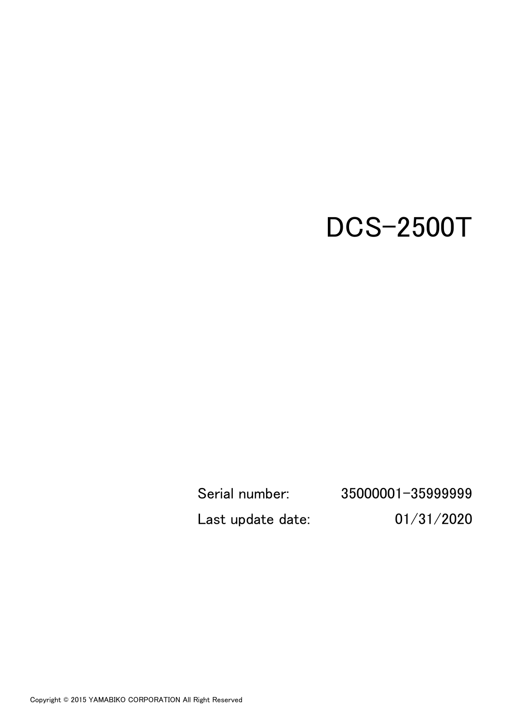# DCS-2500T

Serial number: 35000001-35999999 Last update date: 01/31/2020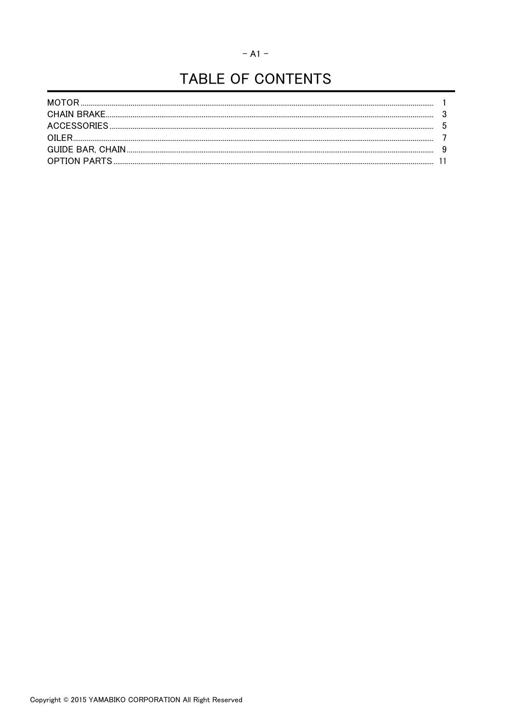#### $-$  A1  $-$

# TABLE OF CONTENTS

| MOTOR |  |
|-------|--|
|       |  |
|       |  |
| OILER |  |
|       |  |
|       |  |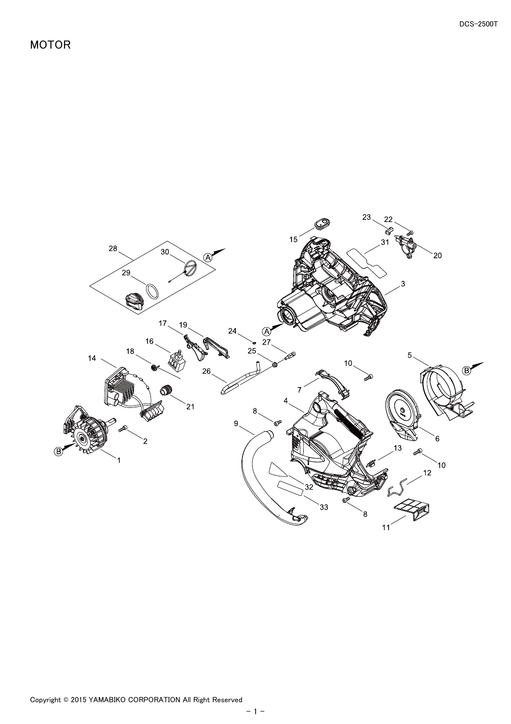<span id="page-2-0"></span>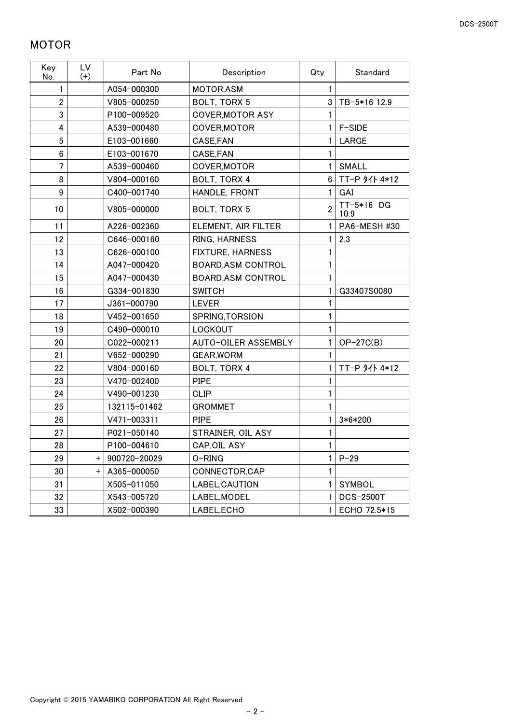## <span id="page-3-0"></span>MOTOR

| Key<br>No.     | <b>LV</b><br>$(+)$ | Part No         | Description               | Standard<br>Qty |                    |
|----------------|--------------------|-----------------|---------------------------|-----------------|--------------------|
| $\mathbf{1}$   |                    | A054-000300     | MOTOR, ASM                | 1               |                    |
| $\overline{2}$ |                    | V805-000250     | BOLT, TORX 5              | 3 <sup>1</sup>  | TB-5*16 12.9       |
| 3              |                    | P100-009520     | <b>COVER, MOTOR ASY</b>   |                 |                    |
| 4              |                    | A539-000480     | COVER, MOTOR              | 1               | F-SIDE             |
| 5              |                    | E103-001660     | CASE, FAN                 | 1               | LARGE              |
| 6              |                    | E103-001670     | CASE, FAN                 | 1               |                    |
| $\overline{7}$ |                    | A539-000460     | COVER, MOTOR              | $\mathbf{1}$    | <b>SMALL</b>       |
| 8              |                    | V804-000160     | BOLT, TORX 4              | 6               | TT-P 9/1 4*12      |
| 9              |                    | C400-001740     | HANDLE, FRONT             | $\mathbf{1}$    | GAI                |
| 10             |                    | V805-000000     | BOLT, TORX 5              | $\overline{2}$  | TT-5*16 DG<br>10.9 |
| 11             |                    | A226-002360     | ELEMENT, AIR FILTER       | 1               | PA6-MESH #30       |
| 12             |                    | C646-000160     | RING, HARNESS             | 1               | 2.3                |
| 13             |                    | C626-000100     | <b>FIXTURE, HARNESS</b>   | 1               |                    |
| 14             |                    | A047-000420     | <b>BOARD, ASM CONTROL</b> | 1               |                    |
| 15             |                    | A047-000430     | <b>BOARD, ASM CONTROL</b> | 1               |                    |
| 16             |                    | G334-001830     | <b>SWITCH</b>             | 1               | G33407S0080        |
| 17             |                    | J361-000790     | <b>LEVER</b>              | 1               |                    |
| 18             |                    | V452-001650     | SPRING, TORSION           | 1               |                    |
| 19             |                    | C490-000010     | LOCKOUT                   | 1               |                    |
| 20             |                    | C022-000211     | AUTO-OILER ASSEMBLY       | 1               | $OP-27C(B)$        |
| 21             |                    | V652-000290     | <b>GEAR, WORM</b>         | 1               |                    |
| 22             |                    | V804-000160     | BOLT, TORX 4              | 1               | TT-P 好仆 4*12       |
| 23             |                    | V470-002400     | <b>PIPE</b>               | 1               |                    |
| 24             |                    | V490-001230     | <b>CLIP</b>               | 1               |                    |
| 25             |                    | 132115-01462    | <b>GROMMET</b>            | 1               |                    |
| 26             |                    | $V471 - 003311$ | <b>PIPE</b>               | 1               | 3*6*200            |
| 27             |                    | P021-050140     | STRAINER, OIL ASY         | 1               |                    |
| 28             |                    | P100-004610     | CAP, OIL ASY              | 1               |                    |
| 29             | $^+$               | 900720-20029    | O-RING                    | 1               | $P - 29$           |
| 30             | $\pm$              | A365-000050     | CONNECTOR, CAP            | 1               |                    |
| 31             |                    | X505-011050     | LABEL, CAUTION            | 1               | <b>SYMBOL</b>      |
| 32             |                    | X543-005720     | LABEL, MODEL              | 1               | <b>DCS-2500T</b>   |
| 33             |                    | X502-000390     | LABEL, ECHO               | 1               | ECHO 72.5*15       |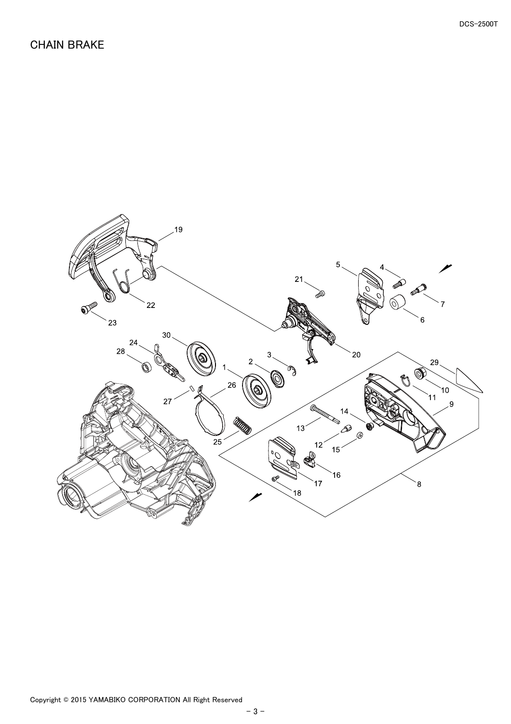#### <span id="page-4-0"></span>CHAIN BRAKE

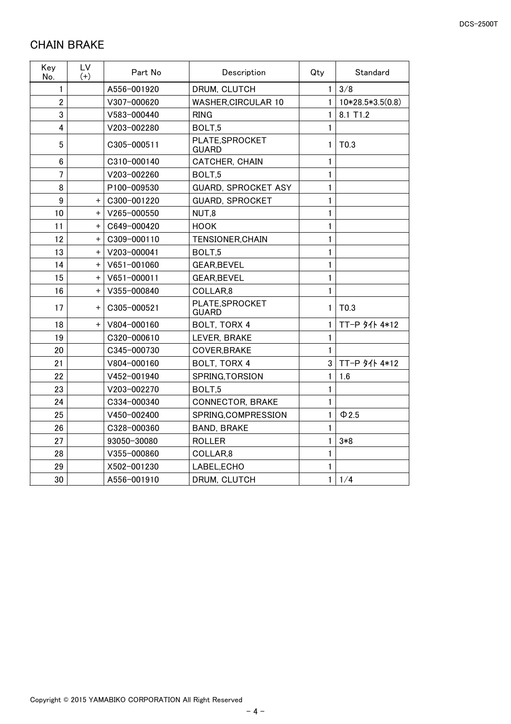#### <span id="page-5-0"></span>CHAIN BRAKE

| Key<br>No.     | LV<br>$(+)$ | Part No     | Description                     | Qty                 | Standard         |
|----------------|-------------|-------------|---------------------------------|---------------------|------------------|
| 1              |             | A556-001920 | DRUM, CLUTCH                    | 3/8<br>$\mathbf{1}$ |                  |
| $\overline{2}$ |             | V307-000620 | <b>WASHER, CIRCULAR 10</b>      | 1                   | 10*28.5*3.5(0.8) |
| 3              |             | V583-000440 | <b>RING</b>                     | 1                   | 8.1 T1.2         |
| 4              |             | V203-002280 | BOLT,5                          | 1                   |                  |
| 5              |             | C305-000511 | PLATE, SPROCKET<br><b>GUARD</b> | 1                   | T <sub>0.3</sub> |
| 6              |             | C310-000140 | CATCHER, CHAIN                  | 1                   |                  |
| $\overline{7}$ |             | V203-002260 | BOLT,5                          | 1                   |                  |
| 8              |             | P100-009530 | <b>GUARD, SPROCKET ASY</b>      | 1                   |                  |
| 9              | $\ddot{}$   | C300-001220 | <b>GUARD, SPROCKET</b>          | 1                   |                  |
| 10             | $\ddot{}$   | V265-000550 | NUT,8                           | 1                   |                  |
| 11             | $\ddot{}$   | C649-000420 | <b>HOOK</b>                     | 1                   |                  |
| 12             | $\ddot{}$   | C309-000110 | <b>TENSIONER, CHAIN</b>         | 1                   |                  |
| 13             | $\ddot{}$   | V203-000041 | BOLT <sub>,5</sub>              | 1                   |                  |
| 14             | $\ddot{}$   | V651-001060 | GEAR, BEVEL                     | 1                   |                  |
| 15             | $+$         | V651-000011 | <b>GEAR, BEVEL</b>              | 1                   |                  |
| 16             | $\ddot{}$   | V355-000840 | COLLAR,8                        | 1                   |                  |
| 17             | $+$         | C305-000521 | PLATE, SPROCKET<br><b>GUARD</b> | 1                   | T <sub>0.3</sub> |
| 18             | $+$         | V804-000160 | BOLT, TORX 4                    | 1                   | TT-P 91 4*12     |
| 19             |             | C320-000610 | LEVER, BRAKE                    | 1                   |                  |
| 20             |             | C345-000730 | COVER, BRAKE                    | 1                   |                  |
| 21             |             | V804-000160 | BOLT, TORX 4                    | 3                   | TT-P 9仆 4*12     |
| 22             |             | V452-001940 | SPRING, TORSION                 | 1                   | 1.6              |
| 23             |             | V203-002270 | BOLT <sub>.5</sub>              | 1                   |                  |
| 24             |             | C334-000340 | <b>CONNECTOR, BRAKE</b>         | 1                   |                  |
| 25             |             | V450-002400 | SPRING, COMPRESSION             | 1                   | $\Phi$ 2.5       |
| 26             |             | C328-000360 | <b>BAND, BRAKE</b>              | 1                   |                  |
| 27             |             | 93050-30080 | <b>ROLLER</b>                   | 1                   | $3*8$            |
| 28             |             | V355-000860 | COLLAR,8                        | 1                   |                  |
| 29             |             | X502-001230 | LABEL, ECHO                     | 1                   |                  |
| 30             |             | A556-001910 | DRUM, CLUTCH                    | $\mathbf{1}$        | 1/4              |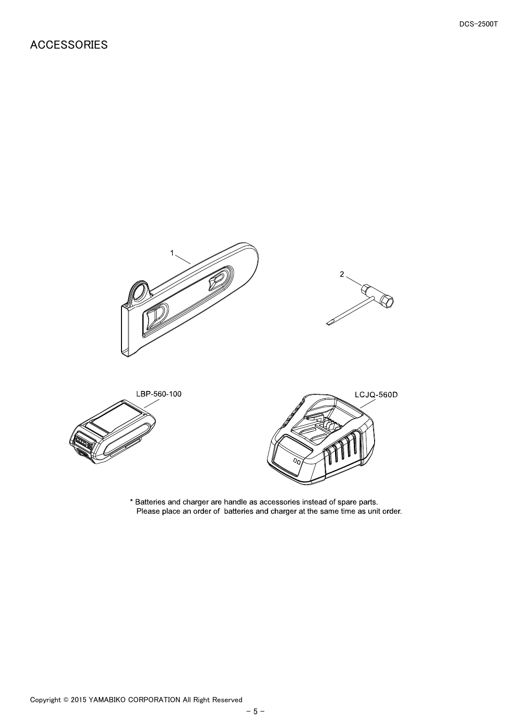#### <span id="page-6-0"></span>ACCESSORIES



\* Batteries and charger are handle as accessories instead of spare parts.<br>Please place an order of batteries and charger at the same time as unit order.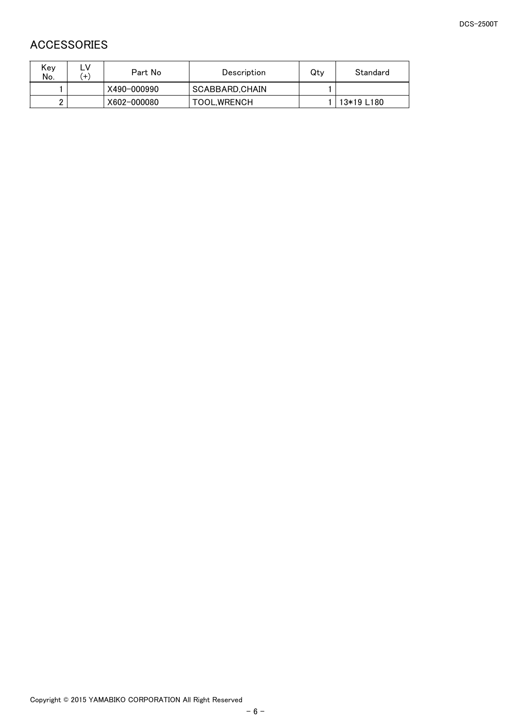## <span id="page-7-0"></span>ACCESSORIES

| Kev<br>No. | ╌<br>$+$ | Part No     | Description         | Qtv | Standard   |
|------------|----------|-------------|---------------------|-----|------------|
|            |          | X490-000990 | SCABBARD.CHAIN      |     |            |
| n          |          | X602-000080 | <b>TOOL, WRENCH</b> |     | 13*19 L180 |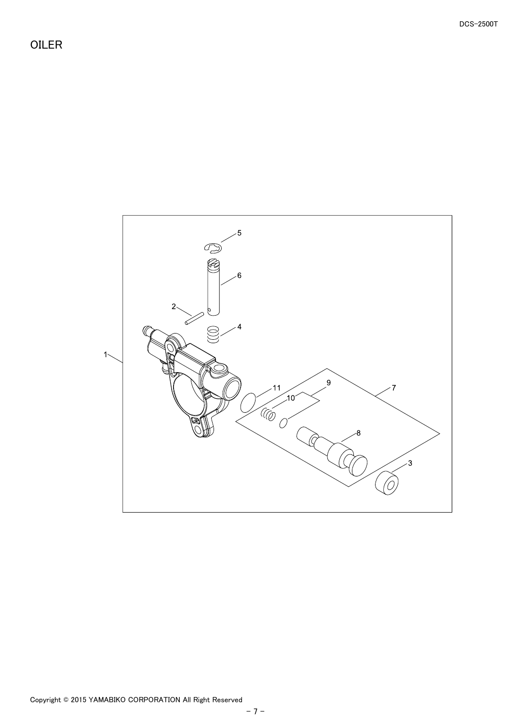<span id="page-8-0"></span>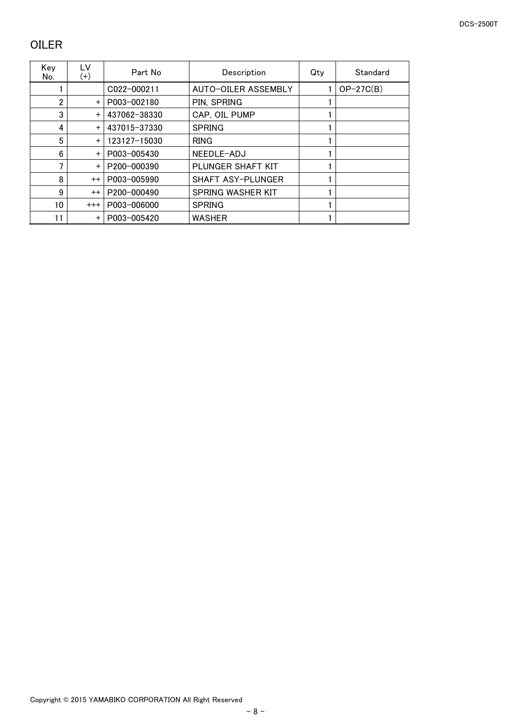## <span id="page-9-0"></span>OILER

| Kev<br>No.     | LV<br>$^{(+)}$ | Part No      | Description              | Qty | Standard    |
|----------------|----------------|--------------|--------------------------|-----|-------------|
|                |                | C022-000211  | AUTO-OILER ASSEMBLY      |     | $OP-27C(B)$ |
| $\overline{2}$ | $\ddot{}$      | P003-002180  | PIN, SPRING              |     |             |
| 3              | $+$            | 437062-38330 | CAP, OIL PUMP            |     |             |
| 4              | $\ddot{}$      | 437015-37330 | <b>SPRING</b>            |     |             |
| 5              | $+$            | 123127-15030 | <b>RING</b>              |     |             |
| 6              | $+$            | P003-005430  | NEEDLE-ADJ               |     |             |
| 7              | $\ddot{}$      | P200-000390  | PLUNGER SHAFT KIT        |     |             |
| 8              | $^{++}$        | P003-005990  | <b>SHAFT ASY-PLUNGER</b> |     |             |
| 9              | $^{++}$        | P200-000490  | SPRING WASHER KIT        |     |             |
| 10             | $^{+++}$       | P003-006000  | <b>SPRING</b>            |     |             |
| 11             | $\ddot{}$      | P003-005420  | <b>WASHER</b>            |     |             |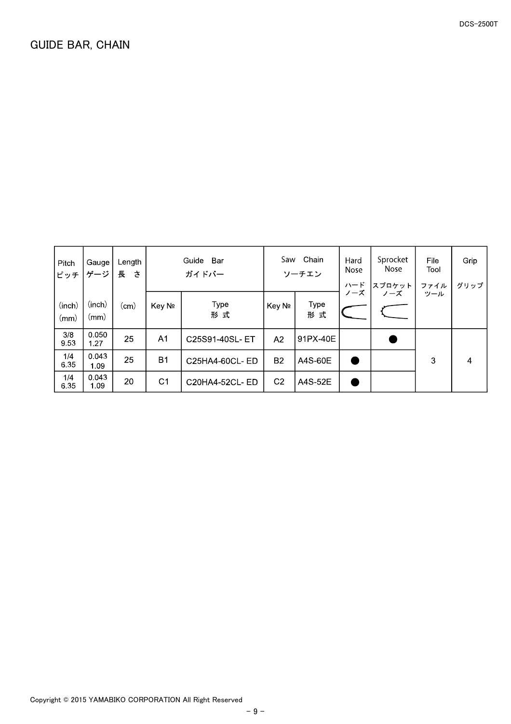<span id="page-10-0"></span>

| Pitch<br>ピッチ   | Gauge<br>ゲージ   | Length<br>長<br>さ | Guide<br>Bar<br>ガイドバー |                | Saw            | Chain<br>ソーチエン | Hard<br><b>Nose</b> | Sprocket<br><b>Nose</b> | File<br>Tool | Grip |
|----------------|----------------|------------------|-----------------------|----------------|----------------|----------------|---------------------|-------------------------|--------------|------|
|                |                |                  |                       |                |                |                | ハード<br>ノーズ          | スプロケット<br>ノーズ           | ファイル<br>ツール  | グリップ |
| (inch)<br>(mm) | (inch)<br>(mm) | (cm)             | Key No                | Type<br>形式     | Key No         | Type<br>形<br>式 |                     |                         |              |      |
| 3/8<br>9.53    | 0.050<br>1.27  | 25               | A1                    | C25S91-40SL-ET | A <sub>2</sub> | 91PX-40E       |                     |                         |              |      |
| 1/4<br>6.35    | 0.043<br>1.09  | 25               | <b>B1</b>             | C25HA4-60CL-ED | <b>B2</b>      | A4S-60E        |                     |                         | 3            | 4    |
| 1/4<br>6.35    | 0.043<br>1.09  | 20               | C <sub>1</sub>        | C20HA4-52CL-ED | C <sub>2</sub> | A4S-52E        |                     |                         |              |      |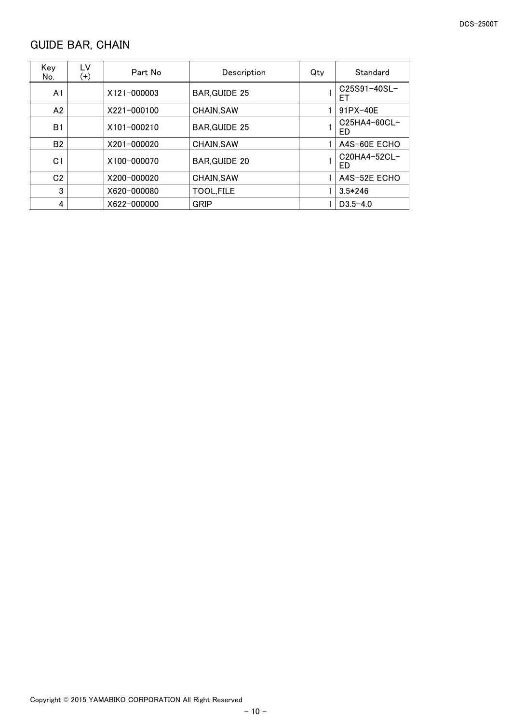# <span id="page-11-0"></span>GUIDE BAR, CHAIN

| Key<br>No.     | LV<br>$^{(+)}$ | Part No     | Description          | Qty | Standard             |
|----------------|----------------|-------------|----------------------|-----|----------------------|
| A <sub>1</sub> |                | X121-000003 | <b>BAR, GUIDE 25</b> |     | C25S91-40SL-<br>EТ   |
| A2             |                | X221-000100 | CHAIN, SAW           |     | 91PX-40E             |
| B <sub>1</sub> |                | X101-000210 | <b>BAR, GUIDE 25</b> |     | $C25HA4-60CL-$<br>ED |
| <b>B2</b>      |                | X201-000020 | <b>CHAIN.SAW</b>     |     | A4S-60E ECHO         |
| C <sub>1</sub> |                | X100-000070 | <b>BAR.GUIDE 20</b>  |     | $C20HA4-52CL-$<br>ED |
| C <sub>2</sub> |                | X200-000020 | <b>CHAIN.SAW</b>     |     | A4S-52E ECHO         |
| 3              |                | X620-000080 | TOOL, FILE           |     | $3.5*246$            |
| 4              |                | X622-000000 | GRIP                 |     | $D3.5 - 4.0$         |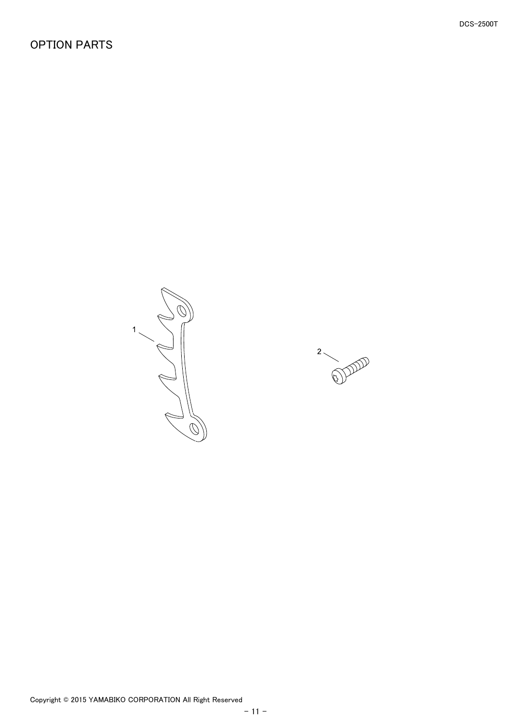#### <span id="page-12-0"></span>OPTION PARTS

1

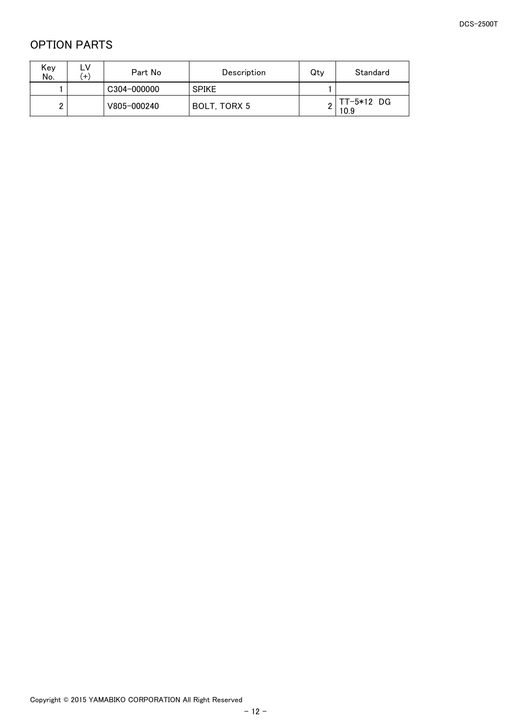## <span id="page-13-0"></span>OPTION PARTS

| Key<br>No. | ∟۷<br>$\ddot{}$ | Part No     | Description  | Qty | Standard             |
|------------|-----------------|-------------|--------------|-----|----------------------|
|            |                 | C304-000000 | <b>SPIKE</b> |     |                      |
| ∩<br>▃     |                 | V805-000240 | BOLT. TORX 5 |     | $TT-5*12$ DG<br>10.9 |